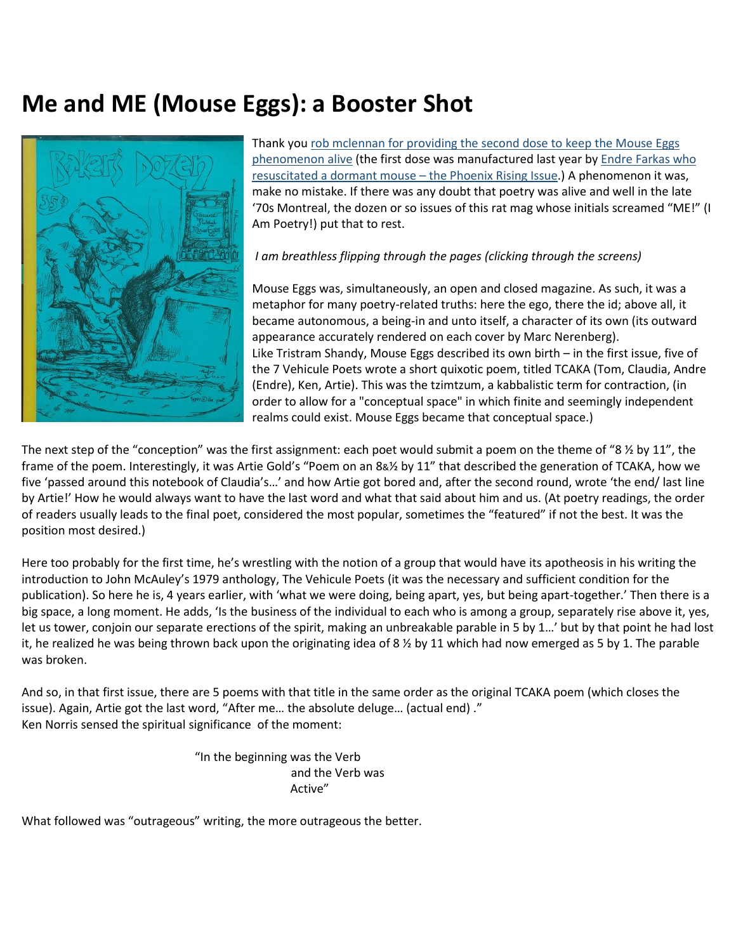## **Me and ME (Mouse Eggs): a Booster Shot**



Thank you rob mclennan [for providing the second dose to keep the Mouse Eggs](http://robmclennan.blogspot.com/2021/06/mouse-eggs-1976-80-interview-with-ken.html)  [phenomenon](http://robmclennan.blogspot.com/2021/06/mouse-eggs-1976-80-interview-with-ken.html) alive (the first dose was manufactured last year by [Endre Farkas who](https://www.vehiculepoets.com/mouse-eggs)  resuscitated a dormant mouse – [the Phoenix Rising Issue.](https://www.vehiculepoets.com/mouse-eggs)) A phenomenon it was, make no mistake. If there was any doubt that poetry was alive and well in the late '70s Montreal, the dozen or so issues of this rat mag whose initials screamed "ME!" (I Am Poetry!) put that to rest.

## *I am breathless flipping through the pages (clicking through the screens)*

Mouse Eggs was, simultaneously, an open and closed magazine. As such, it was a metaphor for many poetry-related truths: here the ego, there the id; above all, it became autonomous, a being-in and unto itself, a character of its own (its outward appearance accurately rendered on each cover by Marc Nerenberg). Like Tristram Shandy, Mouse Eggs described its own birth – in the first issue, five of the 7 Vehicule Poets wrote a short quixotic poem, titled TCAKA (Tom, Claudia, Andre (Endre), Ken, Artie). This was the tzimtzum, a kabbalistic term for contraction, (in order to allow for a "conceptual space" in which finite and seemingly independent realms could exist. Mouse Eggs became that conceptual space.)

The next step of the "conception" was the first assignment: each poet would submit a poem on the theme of "8  $\frac{1}{2}$  by 11", the frame of the poem. Interestingly, it was Artie Gold's "Poem on an 8&½ by 11" that described the generation of TCAKA, how we five 'passed around this notebook of Claudia's…' and how Artie got bored and, after the second round, wrote 'the end/ last line by Artie!' How he would always want to have the last word and what that said about him and us. (At poetry readings, the order of readers usually leads to the final poet, considered the most popular, sometimes the "featured" if not the best. It was the position most desired.)

Here too probably for the first time, he's wrestling with the notion of a group that would have its apotheosis in his writing the introduction to John McAuley's 1979 anthology, The Vehicule Poets (it was the necessary and sufficient condition for the publication). So here he is, 4 years earlier, with 'what we were doing, being apart, yes, but being apart-together.' Then there is a big space, a long moment. He adds, 'Is the business of the individual to each who is among a group, separately rise above it, yes, let us tower, conjoin our separate erections of the spirit, making an unbreakable parable in 5 by 1…' but by that point he had lost it, he realized he was being thrown back upon the originating idea of 8 % by 11 which had now emerged as 5 by 1. The parable was broken.

And so, in that first issue, there are 5 poems with that title in the same order as the original TCAKA poem (which closes the issue). Again, Artie got the last word, "After me… the absolute deluge… (actual end) ." Ken Norris sensed the spiritual significance of the moment:

> "In the beginning was the Verb and the Verb was Active"

What followed was "outrageous" writing, the more outrageous the better.